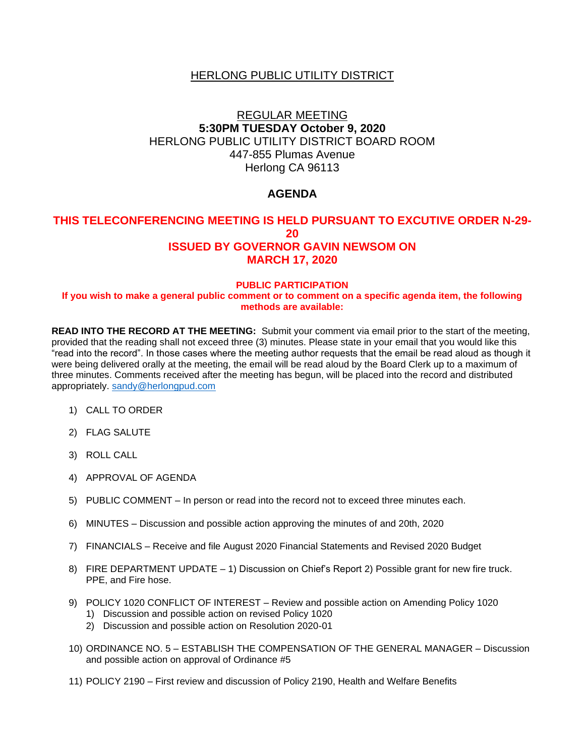## HERLONG PUBLIC UTILITY DISTRICT

# REGULAR MEETING **5:30PM TUESDAY October 9, 2020** HERLONG PUBLIC UTILITY DISTRICT BOARD ROOM 447-855 Plumas Avenue Herlong CA 96113

## **AGENDA**

### **THIS TELECONFERENCING MEETING IS HELD PURSUANT TO EXCUTIVE ORDER N-29- 20 ISSUED BY GOVERNOR GAVIN NEWSOM ON MARCH 17, 2020**

#### **PUBLIC PARTICIPATION**

#### **If you wish to make a general public comment or to comment on a specific agenda item, the following methods are available:**

**READ INTO THE RECORD AT THE MEETING:** Submit your comment via email prior to the start of the meeting, provided that the reading shall not exceed three (3) minutes. Please state in your email that you would like this "read into the record". In those cases where the meeting author requests that the email be read aloud as though it were being delivered orally at the meeting, the email will be read aloud by the Board Clerk up to a maximum of three minutes. Comments received after the meeting has begun, will be placed into the record and distributed appropriately. [sandy@herlongpud.com](mailto:sandy@herlongpud.com)

- 1) CALL TO ORDER
- 2) FLAG SALUTE
- 3) ROLL CALL
- 4) APPROVAL OF AGENDA
- 5) PUBLIC COMMENT In person or read into the record not to exceed three minutes each.
- 6) MINUTES Discussion and possible action approving the minutes of and 20th, 2020
- 7) FINANCIALS Receive and file August 2020 Financial Statements and Revised 2020 Budget
- 8) FIRE DEPARTMENT UPDATE 1) Discussion on Chief's Report 2) Possible grant for new fire truck. PPE, and Fire hose.
- 9) POLICY 1020 CONFLICT OF INTEREST Review and possible action on Amending Policy 1020
	- 1) Discussion and possible action on revised Policy 1020
	- 2) Discussion and possible action on Resolution 2020-01
- 10) ORDINANCE NO. 5 ESTABLISH THE COMPENSATION OF THE GENERAL MANAGER Discussion and possible action on approval of Ordinance #5
- 11) POLICY 2190 First review and discussion of Policy 2190, Health and Welfare Benefits